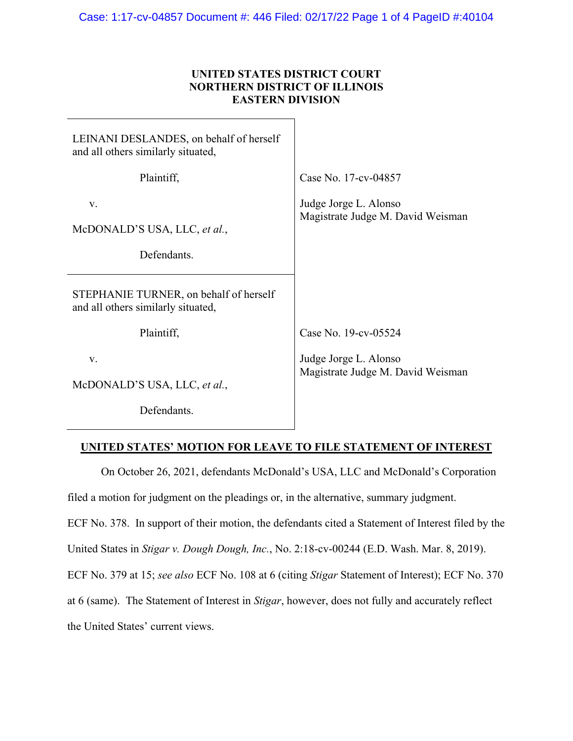## **UNITED STATES DISTRICT COURT NORTHERN DISTRICT OF ILLINOIS EASTERN DIVISION**

| LEINANI DESLANDES, on behalf of herself<br>and all others similarly situated, |                                                                                    |
|-------------------------------------------------------------------------------|------------------------------------------------------------------------------------|
| Plaintiff,                                                                    | Case No. 17-cv-04857                                                               |
| V.<br>McDONALD'S USA, LLC, et al.,<br>Defendants.                             | Judge Jorge L. Alonso<br>Magistrate Judge M. David Weisman                         |
| STEPHANIE TURNER, on behalf of herself<br>and all others similarly situated,  |                                                                                    |
| Plaintiff,<br>V.<br>McDONALD'S USA, LLC, et al.,                              | Case No. 19-cv-05524<br>Judge Jorge L. Alonso<br>Magistrate Judge M. David Weisman |
| Defendants.                                                                   |                                                                                    |

## **UNITED STATES' MOTION FOR LEAVE TO FILE STATEMENT OF INTEREST**

 On October 26, 2021, defendants McDonald's USA, LLC and McDonald's Corporation filed a motion for judgment on the pleadings or, in the alternative, summary judgment. ECF No. 378. In support of their motion, the defendants cited a Statement of Interest filed by the United States in *Stigar v. Dough Dough, Inc.*, No. 2:18-cv-00244 (E.D. Wash. Mar. 8, 2019). ECF No. 379 at 15; *see also* ECF No. 108 at 6 (citing *Stigar* Statement of Interest); ECF No. 370 at 6 (same). The Statement of Interest in *Stigar*, however, does not fully and accurately reflect the United States' current views.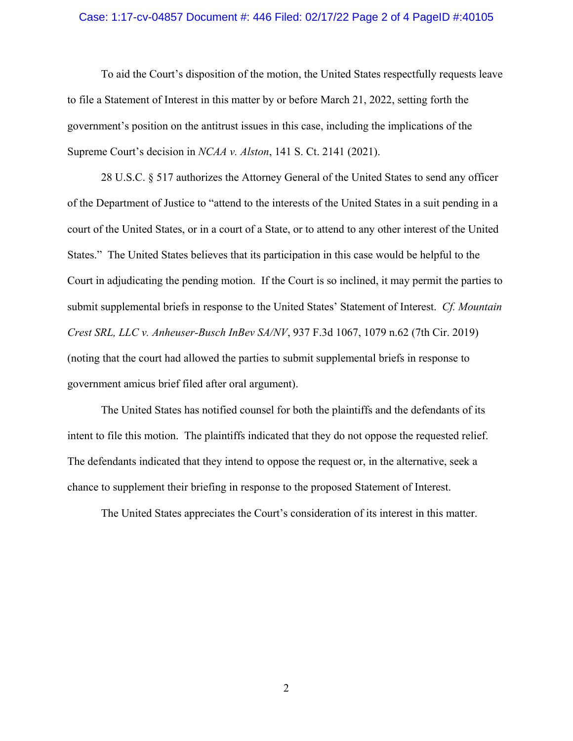## Case: 1:17-cv-04857 Document #: 446 Filed: 02/17/22 Page 2 of 4 PageID #:40105

To aid the Court's disposition of the motion, the United States respectfully requests leave to file a Statement of Interest in this matter by or before March 21, 2022, setting forth the government's position on the antitrust issues in this case, including the implications of the Supreme Court's decision in *NCAA v. Alston*, 141 S. Ct. 2141 (2021).

28 U.S.C. § 517 authorizes the Attorney General of the United States to send any officer of the Department of Justice to "attend to the interests of the United States in a suit pending in a court of the United States, or in a court of a State, or to attend to any other interest of the United States." The United States believes that its participation in this case would be helpful to the Court in adjudicating the pending motion. If the Court is so inclined, it may permit the parties to submit supplemental briefs in response to the United States' Statement of Interest. *Cf. Mountain Crest SRL, LLC v. Anheuser-Busch InBev SA/NV*, 937 F.3d 1067, 1079 n.62 (7th Cir. 2019) (noting that the court had allowed the parties to submit supplemental briefs in response to government amicus brief filed after oral argument).

The United States has notified counsel for both the plaintiffs and the defendants of its intent to file this motion. The plaintiffs indicated that they do not oppose the requested relief. The defendants indicated that they intend to oppose the request or, in the alternative, seek a chance to supplement their briefing in response to the proposed Statement of Interest.

The United States appreciates the Court's consideration of its interest in this matter.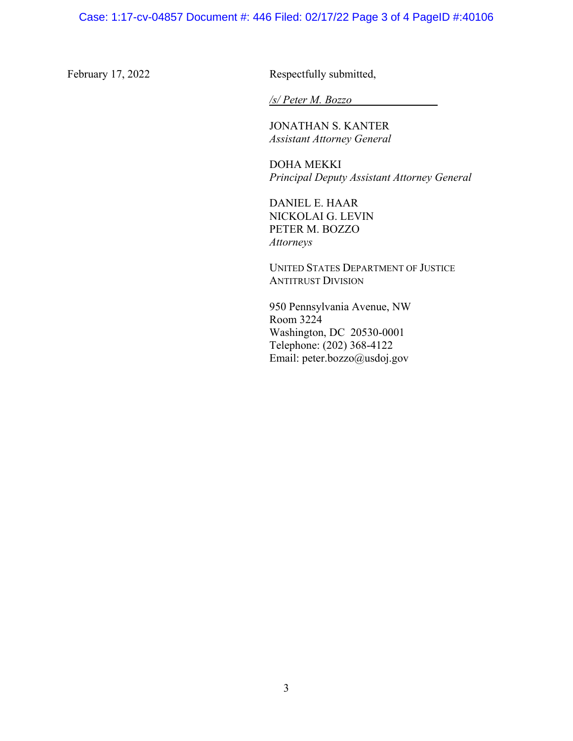February 17, 2022 Respectfully submitted,

*/s/ Peter M. Bozzo* 

 JONATHAN S. KANTER *Assistant Attorney General* 

**DOHA MEKKI** *Principal Deputy Assistant Attorney General* 

 DANIEL E. HAAR NICKOLAI G. LEVIN PETER M. BOZZO  *Attorneys* 

**UNITED STATES DEPARTMENT OF JUSTICE** ANTITRUST DIVISION

 950 Pennsylvania Avenue, NW Room 3224 Washington, DC 20530-0001 Telephone: (202) 368-4122 Email: peter.bozzo@usdoj.gov